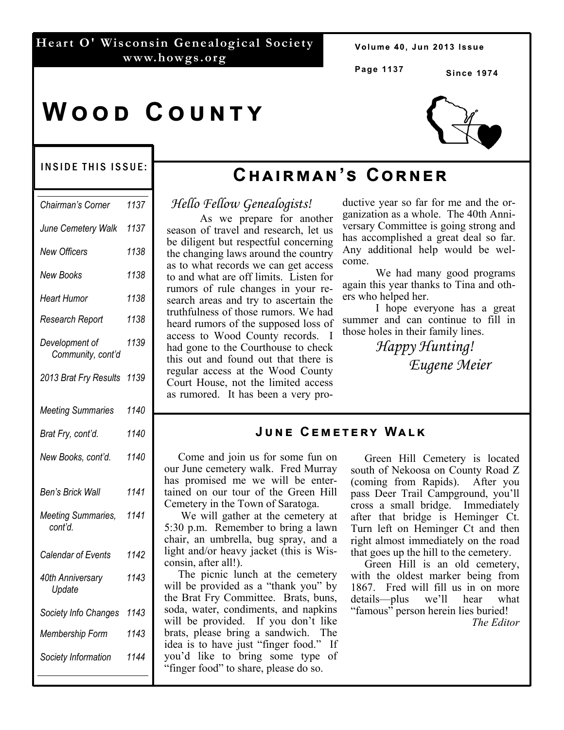#### **Heart O' Wisconsin Genealogical Society www.howgs.org**

Volume 40, Jun 2013 Issue

**Page 1137**

**Since 1974** 

# **WOOD COUNTY**

#### INSIDE THIS ISSUE:

| Chairman's Corner                   | 1137 |
|-------------------------------------|------|
| June Cemetery Walk                  | 1137 |
| <b>New Officers</b>                 | 1138 |
| <b>New Books</b>                    | 1138 |
| <b>Heart Humor</b>                  | 1138 |
| Research Report                     | 1138 |
| Development of<br>Community, cont'd | 1139 |
| 2013 Brat Fry Results               | 1139 |
| <b>Meeting Summaries</b>            | 1140 |
| Brat Fry, cont'd.                   | 1140 |
| New Books, cont'd.                  | 1140 |
| <b>Ben's Brick Wall</b>             | 1141 |
| Meeting Summaries,<br>cont'd.       | 1141 |
| Calendar of Events                  | 1142 |
| 40th Anniversary<br>Update          | 1143 |
| Society Info Changes                | 1143 |
| Membership Form                     | 1143 |
| Society Information                 | 1144 |

## $CHAIN'S CORNER$

### *Hello Fellow Genealogists!*

 As we prepare for another season of travel and research, let us be diligent but respectful concerning the changing laws around the country as to what records we can get access to and what are off limits. Listen for rumors of rule changes in your research areas and try to ascertain the truthfulness of those rumors. We had heard rumors of the supposed loss of access to Wood County records. I had gone to the Courthouse to check this out and found out that there is regular access at the Wood County Court House, not the limited access as rumored. It has been a very productive year so far for me and the organization as a whole. The 40th Anniversary Committee is going strong and has accomplished a great deal so far. Any additional help would be welcome.

 We had many good programs again this year thanks to Tina and others who helped her.

 I hope everyone has a great summer and can continue to fill in those holes in their family lines.

> *Happy Hunting! Eugene Meier*

#### **JUNE CEMETERY WALK**

 Come and join us for some fun on our June cemetery walk. Fred Murray has promised me we will be entertained on our tour of the Green Hill Cemetery in the Town of Saratoga.

 We will gather at the cemetery at 5:30 p.m. Remember to bring a lawn chair, an umbrella, bug spray, and a light and/or heavy jacket (this is Wisconsin, after all!).

 The picnic lunch at the cemetery will be provided as a "thank you" by the Brat Fry Committee. Brats, buns, soda, water, condiments, and napkins will be provided. If you don't like brats, please bring a sandwich. The idea is to have just "finger food." If you'd like to bring some type of "finger food" to share, please do so.

 Green Hill Cemetery is located south of Nekoosa on County Road Z (coming from Rapids). After you pass Deer Trail Campground, you'll cross a small bridge. Immediately after that bridge is Heminger Ct. Turn left on Heminger Ct and then right almost immediately on the road that goes up the hill to the cemetery.

 Green Hill is an old cemetery, with the oldest marker being from 1867. Fred will fill us in on more details—plus we'll hear what "famous" person herein lies buried! *The Editor*

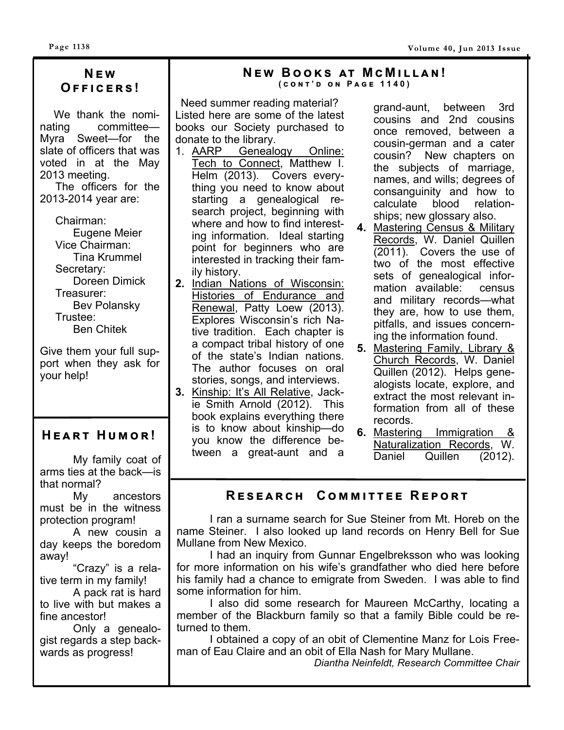## **N E w O ඎඎඑඋඍකඛ !**

 We thank the nominating committee— Myra Sweet—for the slate of officers that was voted in at the May 2013 meeting.

 The officers for the 2013-2014 year are:

> Chairman: Eugene Meier Vice Chairman: Tina Krummel Secretary: Doreen Dimick Treasurer: Bev Polansky Trustee: Ben Chitek

Give them your full support when they ask for your help!

## $H$  **EART** HUMOR!

 My family coat of arms ties at the back—is that normal?

 My ancestors must be in the witness protection program!

 A new cousin a day keeps the boredom away!

 "Crazy" is a relative term in my family!

 A pack rat is hard to live with but makes a fine ancestor!

 Only a genealogist regards a step backwards as progress!

## $N$  **EW** BOOKS AT MCMILLAN!

**( උඖග ' ඌ ඖ P ඉඏඍ 1140)** 

Need summer reading material? Listed here are some of the latest books our Society purchased to donate to the library.

- 1. AARP Genealogy Online: Tech to Connect, Matthew I. Helm (2013). Covers everything you need to know about starting a genealogical research project, beginning with where and how to find interesting information. Ideal starting point for beginners who are interested in tracking their family history.
- **2.** Indian Nations of Wisconsin: Histories of Endurance and Renewal, Patty Loew (2013). Explores Wisconsin's rich Native tradition. Each chapter is a compact tribal history of one of the state's Indian nations. The author focuses on oral stories, songs, and interviews.
- **3.** Kinship: It's All Relative, Jackie Smith Arnold (2012). This book explains everything there is to know about kinship—do you know the difference between a great-aunt and a

grand-aunt, between 3rd cousins and 2nd cousins once removed, between a cousin-german and a cater cousin? New chapters on the subjects of marriage, names, and wills; degrees of consanguinity and how to calculate blood relationships; new glossary also.

- **4.** Mastering Census & Military Records, W. Daniel Quillen (2011). Covers the use of two of the most effective sets of genealogical information available: census and military records—what they are, how to use them, pitfalls, and issues concerning the information found.
- **5.** Mastering Family, Library & Church Records, W. Daniel Quillen (2012). Helps genealogists locate, explore, and extract the most relevant information from all of these records.
- **6.** Mastering Immigration & Naturalization Records, W. Daniel Quillen (2012).

### **RESEARCH COMMITTEE REPORT**

I ran a surname search for Sue Steiner from Mt. Horeb on the name Steiner. I also looked up land records on Henry Bell for Sue Mullane from New Mexico.

 I had an inquiry from Gunnar Engelbreksson who was looking for more information on his wife's grandfather who died here before his family had a chance to emigrate from Sweden. I was able to find some information for him.

 I also did some research for Maureen McCarthy, locating a member of the Blackburn family so that a family Bible could be returned to them.

 I obtained a copy of an obit of Clementine Manz for Lois Freeman of Eau Claire and an obit of Ella Nash for Mary Mullane.

*Diantha Neinfeldt, Research Committee Chair*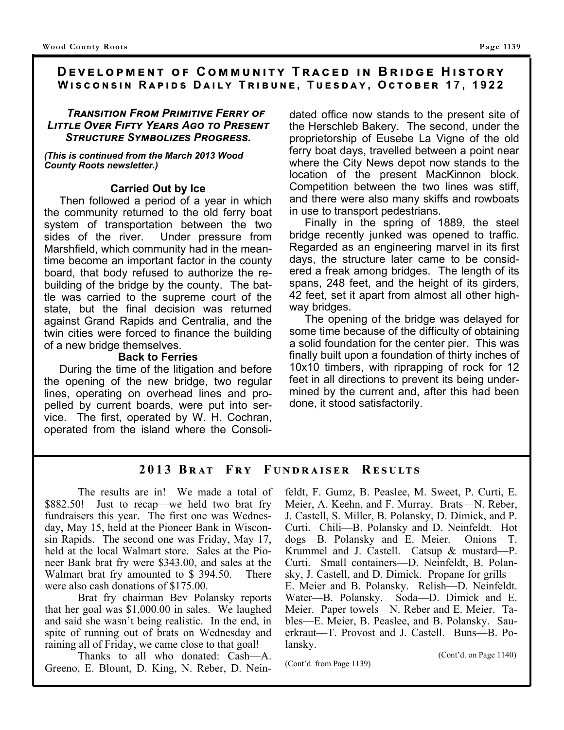#### **DEVELOPMENT OF COMMUNITY TRACED IN BRIDGE HISTORY WISCONSIN RAPIDS DAILY TRIBUNE, TUESDAY, OCTOBER 17, 1922**

#### *TRANSITION FROM PRIMITIVE FERRY OF Lਨਲ਼ਲ਼ਫਤ Oਵਤ Fਨਥਲ਼ਸ Yਤਠਲ Aਦਮ ਲ਼ਮ Pਤਲਤਭਲ਼ Sਲ਼ਢਲ਼ਤ Sਸਬਡਮਫਨਹਤਲ Pਮਦਤਲਲ.*

*(This is continued from the March 2013 Wood County Roots newsletter.)* 

#### **Carried Out by Ice**

 Then followed a period of a year in which the community returned to the old ferry boat system of transportation between the two sides of the river. Under pressure from Marshfield, which community had in the meantime become an important factor in the county board, that body refused to authorize the rebuilding of the bridge by the county. The battle was carried to the supreme court of the state, but the final decision was returned against Grand Rapids and Centralia, and the twin cities were forced to finance the building of a new bridge themselves.

#### **Back to Ferries**

 During the time of the litigation and before the opening of the new bridge, two regular lines, operating on overhead lines and propelled by current boards, were put into service. The first, operated by W. H. Cochran, operated from the island where the Consolidated office now stands to the present site of the Herschleb Bakery. The second, under the proprietorship of Eusebe La Vigne of the old ferry boat days, travelled between a point near where the City News depot now stands to the location of the present MacKinnon block. Competition between the two lines was stiff, and there were also many skiffs and rowboats in use to transport pedestrians.

 Finally in the spring of 1889, the steel bridge recently junked was opened to traffic. Regarded as an engineering marvel in its first days, the structure later came to be considered a freak among bridges. The length of its spans, 248 feet, and the height of its girders, 42 feet, set it apart from almost all other highway bridges.

 The opening of the bridge was delayed for some time because of the difficulty of obtaining a solid foundation for the center pier. This was finally built upon a foundation of thirty inches of 10x10 timbers, with riprapping of rock for 12 feet in all directions to prevent its being undermined by the current and, after this had been done, it stood satisfactorily.

#### **2013 Bඋൺඍ F උ ඒ F ඎඇൽඋൺංඌൾඋ R ൾඌඎඅඍඌ**

 The results are in! We made a total of \$882.50! Just to recap—we held two brat fry fundraisers this year. The first one was Wednesday, May 15, held at the Pioneer Bank in Wisconsin Rapids. The second one was Friday, May 17, held at the local Walmart store. Sales at the Pioneer Bank brat fry were \$343.00, and sales at the Walmart brat fry amounted to \$394.50. There were also cash donations of \$175.00.

 Brat fry chairman Bev Polansky reports that her goal was \$1,000.00 in sales. We laughed and said she wasn't being realistic. In the end, in spite of running out of brats on Wednesday and raining all of Friday, we came close to that goal!

 Thanks to all who donated: Cash—A. Greeno, E. Blount, D. King, N. Reber, D. Neinfeldt, F. Gumz, B. Peaslee, M. Sweet, P. Curti, E. Meier, A. Keehn, and F. Murray. Brats—N. Reber, J. Castell, S. Miller, B. Polansky, D. Dimick, and P. Curti. Chili—B. Polansky and D. Neinfeldt. Hot dogs—B. Polansky and E. Meier. Onions—T. Krummel and J. Castell. Catsup & mustard—P. Curti. Small containers—D. Neinfeldt, B. Polansky, J. Castell, and D. Dimick. Propane for grills— E. Meier and B. Polansky. Relish—D. Neinfeldt. Water—B. Polansky. Soda—D. Dimick and E. Meier. Paper towels—N. Reber and E. Meier. Tables—E. Meier, B. Peaslee, and B. Polansky. Sauerkraut—T. Provost and J. Castell. Buns—B. Polansky.

(Cont'd. on Page 1140) (Cont'd. from Page 1139)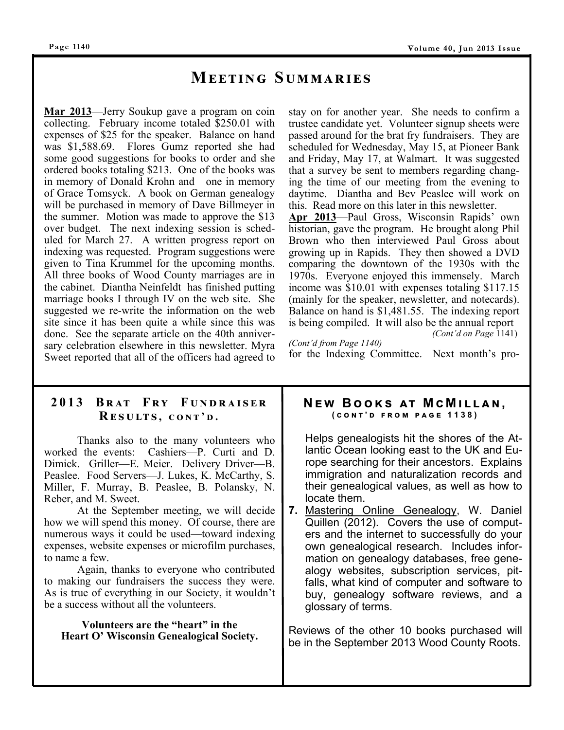## **MEETING SUMMARIES**

**Mar 2013**—Jerry Soukup gave a program on coin collecting. February income totaled \$250.01 with expenses of \$25 for the speaker. Balance on hand was \$1,588.69. Flores Gumz reported she had some good suggestions for books to order and she ordered books totaling \$213. One of the books was in memory of Donald Krohn and one in memory of Grace Tomsyck. A book on German genealogy will be purchased in memory of Dave Billmeyer in the summer. Motion was made to approve the \$13 over budget. The next indexing session is scheduled for March 27. A written progress report on indexing was requested. Program suggestions were given to Tina Krummel for the upcoming months. All three books of Wood County marriages are in the cabinet. Diantha Neinfeldt has finished putting marriage books I through IV on the web site. She suggested we re-write the information on the web site since it has been quite a while since this was done. See the separate article on the 40th anniversary celebration elsewhere in this newsletter. Myra Sweet reported that all of the officers had agreed to

stay on for another year. She needs to confirm a trustee candidate yet. Volunteer signup sheets were passed around for the brat fry fundraisers. They are scheduled for Wednesday, May 15, at Pioneer Bank and Friday, May 17, at Walmart. It was suggested that a survey be sent to members regarding changing the time of our meeting from the evening to daytime. Diantha and Bev Peaslee will work on this. Read more on this later in this newsletter.

**Apr 2013**—Paul Gross, Wisconsin Rapids' own historian, gave the program. He brought along Phil Brown who then interviewed Paul Gross about growing up in Rapids. They then showed a DVD comparing the downtown of the 1930s with the 1970s. Everyone enjoyed this immensely. March income was \$10.01 with expenses totaling \$117.15 (mainly for the speaker, newsletter, and notecards). Balance on hand is \$1,481.55. The indexing report is being compiled. It will also be the annual report *(Cont'd on Page* 1141)

*(Cont'd from Page 1140)* 

for the Indexing Committee. Next month's pro-

#### **2013 Bඋൺඍ F උ ඒ F ඎඇൽඋൺංඌൾඋ**  $R$ **ESULTS**, CONT'D.

 Thanks also to the many volunteers who worked the events: Cashiers—P. Curti and D. Dimick. Griller—E. Meier. Delivery Driver—B. Peaslee. Food Servers—J. Lukes, K. McCarthy, S. Miller, F. Murray, B. Peaslee, B. Polansky, N. Reber, and M. Sweet.

 At the September meeting, we will decide how we will spend this money. Of course, there are numerous ways it could be used—toward indexing expenses, website expenses or microfilm purchases, to name a few.

 Again, thanks to everyone who contributed to making our fundraisers the success they were. As is true of everything in our Society, it wouldn't be a success without all the volunteers.

**Volunteers are the "heart" in the Heart O' Wisconsin Genealogical Society.** 

## **NEW BOOKS AT MCMILLAN,**<br>(CONT'D FROM PAGE 1138)

Helps genealogists hit the shores of the Atlantic Ocean looking east to the UK and Europe searching for their ancestors. Explains immigration and naturalization records and their genealogical values, as well as how to locate them.

**7.** Mastering Online Genealogy, W. Daniel Quillen (2012). Covers the use of computers and the internet to successfully do your own genealogical research. Includes information on genealogy databases, free genealogy websites, subscription services, pitfalls, what kind of computer and software to buy, genealogy software reviews, and a glossary of terms.

Reviews of the other 10 books purchased will be in the September 2013 Wood County Roots.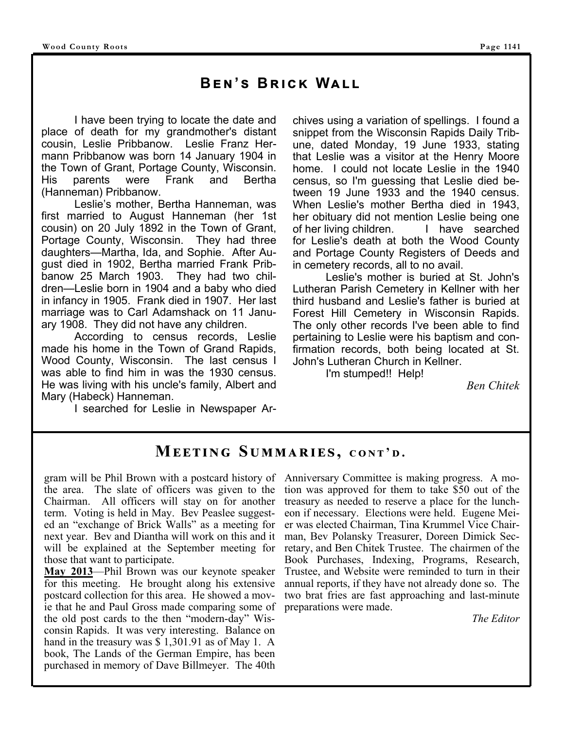## $BEN'S$  BRICK WALL

 I have been trying to locate the date and place of death for my grandmother's distant cousin, Leslie Pribbanow. Leslie Franz Hermann Pribbanow was born 14 January 1904 in the Town of Grant, Portage County, Wisconsin. His parents were Frank and Bertha (Hanneman) Pribbanow.

 Leslie's mother, Bertha Hanneman, was first married to August Hanneman (her 1st cousin) on 20 July 1892 in the Town of Grant, Portage County, Wisconsin. They had three daughters—Martha, Ida, and Sophie. After August died in 1902, Bertha married Frank Pribbanow 25 March 1903. They had two children—Leslie born in 1904 and a baby who died in infancy in 1905. Frank died in 1907. Her last marriage was to Carl Adamshack on 11 January 1908. They did not have any children.

 According to census records, Leslie made his home in the Town of Grand Rapids, Wood County, Wisconsin. The last census I was able to find him in was the 1930 census. He was living with his uncle's family, Albert and Mary (Habeck) Hanneman.

I searched for Leslie in Newspaper Ar-

chives using a variation of spellings. I found a snippet from the Wisconsin Rapids Daily Tribune, dated Monday, 19 June 1933, stating that Leslie was a visitor at the Henry Moore home. I could not locate Leslie in the 1940 census, so I'm guessing that Leslie died between 19 June 1933 and the 1940 census. When Leslie's mother Bertha died in 1943, her obituary did not mention Leslie being one of her living children. I have searched for Leslie's death at both the Wood County and Portage County Registers of Deeds and in cemetery records, all to no avail.

 Leslie's mother is buried at St. John's Lutheran Parish Cemetery in Kellner with her third husband and Leslie's father is buried at Forest Hill Cemetery in Wisconsin Rapids. The only other records I've been able to find pertaining to Leslie were his baptism and confirmation records, both being located at St. John's Lutheran Church in Kellner.

I'm stumped!! Help!

*Ben Chitek* 

## $M$ **EETING SUMMARIES, CONT'D.**

the area. The slate of officers was given to the Chairman. All officers will stay on for another term. Voting is held in May. Bev Peaslee suggested an "exchange of Brick Walls" as a meeting for next year. Bev and Diantha will work on this and it will be explained at the September meeting for those that want to participate.

**May 2013**—Phil Brown was our keynote speaker for this meeting. He brought along his extensive postcard collection for this area. He showed a movie that he and Paul Gross made comparing some of the old post cards to the then "modern-day" Wisconsin Rapids. It was very interesting. Balance on hand in the treasury was \$ 1,301.91 as of May 1. A book, The Lands of the German Empire, has been purchased in memory of Dave Billmeyer. The 40th

gram will be Phil Brown with a postcard history of Anniversary Committee is making progress. A motion was approved for them to take \$50 out of the treasury as needed to reserve a place for the luncheon if necessary. Elections were held. Eugene Meier was elected Chairman, Tina Krummel Vice Chairman, Bev Polansky Treasurer, Doreen Dimick Secretary, and Ben Chitek Trustee. The chairmen of the Book Purchases, Indexing, Programs, Research, Trustee, and Website were reminded to turn in their annual reports, if they have not already done so. The two brat fries are fast approaching and last-minute preparations were made.

*The Editor*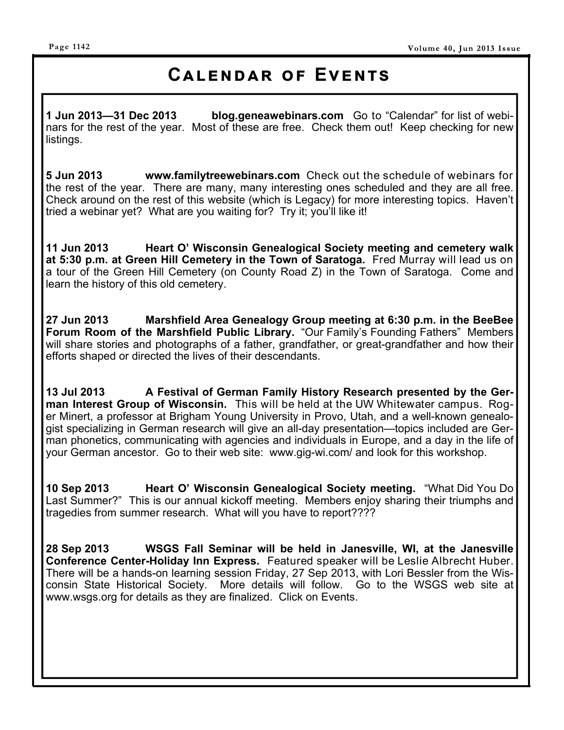## **CALENDAR OF EVENTS**

**1 Jun 2013—31 Dec 2013 blog.geneawebinars.com** Go to "Calendar" for list of webinars for the rest of the year. Most of these are free. Check them out! Keep checking for new listings.

**5 Jun 2013 www.familytreewebinars.com** Check out the schedule of webinars for the rest of the year. There are many, many interesting ones scheduled and they are all free. Check around on the rest of this website (which is Legacy) for more interesting topics. Haven't tried a webinar yet? What are you waiting for? Try it; you'll like it!

**11 Jun 2013 Heart O' Wisconsin Genealogical Society meeting and cemetery walk at 5:30 p.m. at Green Hill Cemetery in the Town of Saratoga.** Fred Murray will lead us on a tour of the Green Hill Cemetery (on County Road Z) in the Town of Saratoga. Come and learn the history of this old cemetery.

**27 Jun 2013 Marshfield Area Genealogy Group meeting at 6:30 p.m. in the BeeBee Forum Room of the Marshfield Public Library.** "Our Family's Founding Fathers" Members will share stories and photographs of a father, grandfather, or great-grandfather and how their efforts shaped or directed the lives of their descendants.

**13 Jul 2013 A Festival of German Family History Research presented by the German Interest Group of Wisconsin.** This will be held at the UW Whitewater campus. Roger Minert, a professor at Brigham Young University in Provo, Utah, and a well-known genealogist specializing in German research will give an all-day presentation—topics included are German phonetics, communicating with agencies and individuals in Europe, and a day in the life of your German ancestor. Go to their web site: www.gig-wi.com/ and look for this workshop.

**10 Sep 2013 Heart O' Wisconsin Genealogical Society meeting.** "What Did You Do Last Summer?" This is our annual kickoff meeting. Members enjoy sharing their triumphs and tragedies from summer research. What will you have to report????

**28 Sep 2013 WSGS Fall Seminar will be held in Janesville, WI, at the Janesville Conference Center-Holiday Inn Express.** Featured speaker will be Leslie Albrecht Huber. There will be a hands-on learning session Friday, 27 Sep 2013, with Lori Bessler from the Wisconsin State Historical Society. More details will follow. Go to the WSGS web site at www.wsgs.org for details as they are finalized. Click on Events.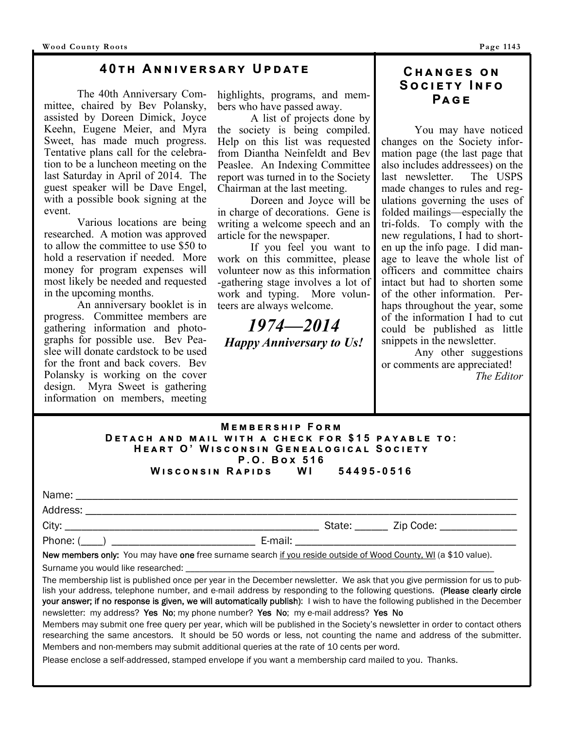#### **40TH ANNIVERSARY UPDATE**

 The 40th Anniversary Committee, chaired by Bev Polansky, assisted by Doreen Dimick, Joyce Keehn, Eugene Meier, and Myra Sweet, has made much progress. Tentative plans call for the celebration to be a luncheon meeting on the last Saturday in April of 2014. The guest speaker will be Dave Engel, with a possible book signing at the event.

 Various locations are being researched. A motion was approved to allow the committee to use \$50 to hold a reservation if needed. More money for program expenses will most likely be needed and requested in the upcoming months.

 An anniversary booklet is in progress. Committee members are gathering information and photographs for possible use. Bev Peaslee will donate cardstock to be used for the front and back covers. Bev Polansky is working on the cover design. Myra Sweet is gathering information on members, meeting

highlights, programs, and members who have passed away.

 A list of projects done by the society is being compiled. Help on this list was requested from Diantha Neinfeldt and Bev Peaslee. An Indexing Committee report was turned in to the Society Chairman at the last meeting.

 Doreen and Joyce will be in charge of decorations. Gene is writing a welcome speech and an article for the newspaper.

 If you feel you want to work on this committee, please volunteer now as this information -gathering stage involves a lot of work and typing. More volunteers are always welcome.

*1974—2014 Happy Anniversary to Us!* 

#### $CHANGES ON$  $S$ <sup>O</sup>CIETY INFO **Pඉඏඍ**

 You may have noticed changes on the Society information page (the last page that also includes addressees) on the last newsletter. The USPS made changes to rules and regulations governing the uses of folded mailings—especially the tri-folds. To comply with the new regulations, I had to shorten up the info page. I did manage to leave the whole list of officers and committee chairs intact but had to shorten some of the other information. Perhaps throughout the year, some of the information I had to cut could be published as little snippets in the newsletter.

 Any other suggestions or comments are appreciated! *The Editor*

#### **MEMBERSHIP FORM DETACH AND MAIL WITH A CHECK FOR \$15 PAYABLE TO:**  $H$ **EART O' WISCONSIN GENEALOGICAL SOCIETY P.O. Box 516**<br>APIDS WI **W එඛඋඖඛඑඖ R ඉඑඌඛ WI 54495-0516**

|                                                                                                                 |  | State: ______ Zip Code: ________________ |
|-----------------------------------------------------------------------------------------------------------------|--|------------------------------------------|
| Phone: $(\_\_)$                                                                                                 |  |                                          |
| New members only: You may have one free surname search if you reside outside of Wood County, WI (a \$10 value). |  |                                          |

Surname you would like researched:

The membership list is published once per year in the December newsletter. We ask that you give permission for us to publish your address, telephone number, and e-mail address by responding to the following questions. (Please clearly circle your answer; if no response is given, we will automatically publish): I wish to have the following published in the December newsletter: my address? Yes No; my phone number? Yes No; my e-mail address? Yes No

Members may submit one free query per year, which will be published in the Society's newsletter in order to contact others researching the same ancestors. It should be 50 words or less, not counting the name and address of the submitter. Members and non-members may submit additional queries at the rate of 10 cents per word.

Please enclose a self-addressed, stamped envelope if you want a membership card mailed to you. Thanks.